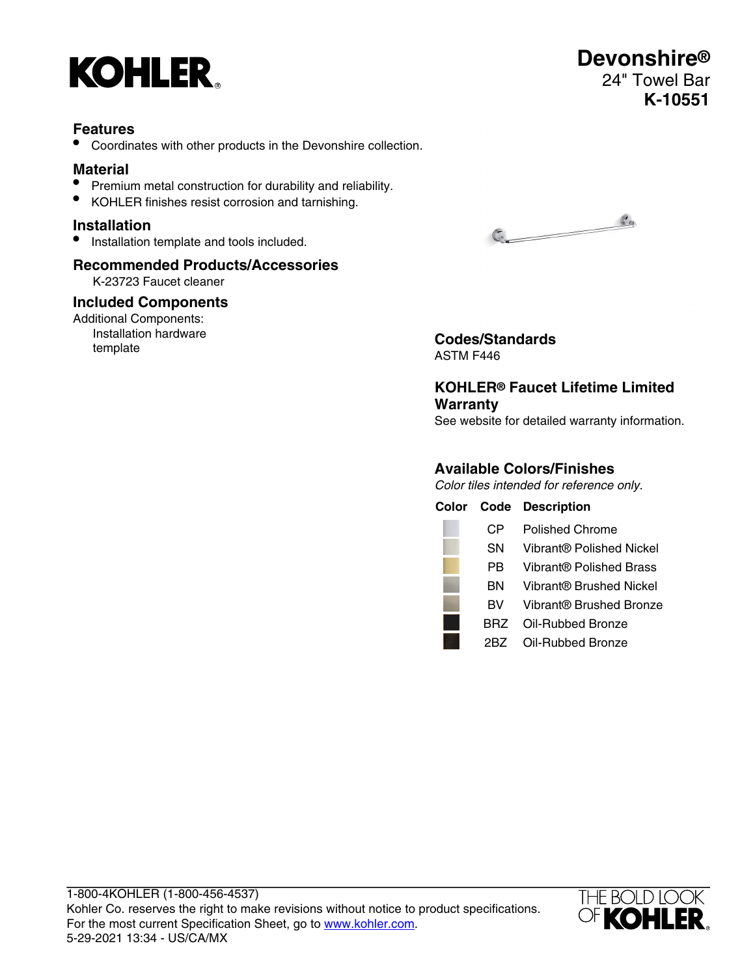

### **Features**

• Coordinates with other products in the Devonshire collection.

## **Material**

- Premium metal construction for durability and reliability.
- KOHLER finishes resist corrosion and tarnishing.

#### **Installation**

• Installation template and tools included.

# **Recommended Products/Accessories**

K-23723 Faucet cleaner

#### **Included Components**

Additional Components: Installation hardware



Installation naroware **Codes/Standards**<br>template **Codes/Standards** ASTM F446

## **KOHLER® Faucet Lifetime Limited Warranty**

See website for detailed warranty information.

## **Available Colors/Finishes**

Color tiles intended for reference only.

|     | <b>Color Code Description</b> |
|-----|-------------------------------|
| CР  | <b>Polished Chrome</b>        |
| SΝ  | Vibrant® Polished Nickel      |
| РR  | Vibrant® Polished Brass       |
| вN  | Vibrant® Brushed Nickel       |
| вv  | Vibrant® Brushed Bronze       |
| BRZ | Oil-Rubbed Bronze             |
|     | Oil-Rubbed Bronze             |